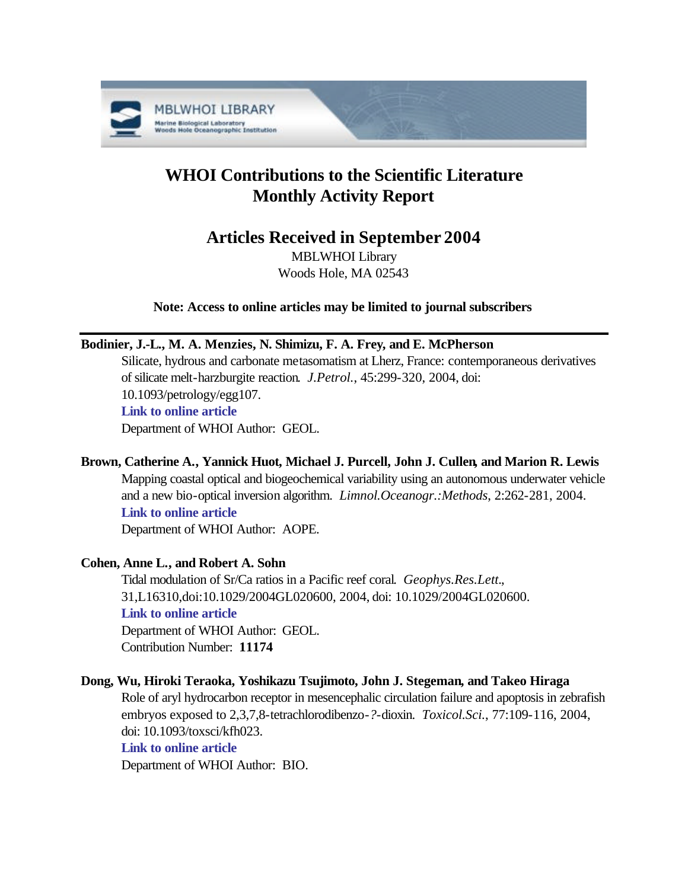

# **WHOI Contributions to the Scientific Literature Monthly Activity Report**

# **Articles Received in September 2004**

MBLWHOI Library Woods Hole, MA 02543

**Note: Access to online articles may be limited to journal subscribers**

# **Bodinier, J.-L., M. A. Menzies, N. Shimizu, F. A. Frey, and E. McPherson**

Silicate, hydrous and carbonate metasomatism at Lherz, France: contemporaneous derivatives of silicate melt-harzburgite reaction. *J.Petrol.*, 45:299-320, 2004, doi: 10.1093/petrology/egg107. **[Link to online article](http://dx.doi.org/10.1093/petrology/egg107)** Department of WHOI Author: GEOL.

# **Brown, Catherine A., Yannick Huot, Michael J. Purcell, John J. Cullen, and Marion R. Lewis**

Mapping coastal optical and biogeochemical variability using an autonomous underwater vehicle and a new bio-optical inversion algorithm. *Limnol.Oceanogr.:Methods*, 2:262-281, 2004. **[Link to online article](http://www.aslo.org/lomethods/free/2004/0262.pdf)** Department of WHOI Author: AOPE.

# **Cohen, Anne L., and Robert A. Sohn**

Tidal modulation of Sr/Ca ratios in a Pacific reef coral. *Geophys.Res.Lett.*, 31,L16310,doi:10.1029/2004GL020600, 2004, doi: 10.1029/2004GL020600. **[Link to online article](http://dx.doi.org/10.1029/2004GL020600)** Department of WHOI Author: GEOL. Contribution Number: **11174**

# **Dong, Wu, Hiroki Teraoka, Yoshikazu Tsujimoto, John J. Stegeman, and Takeo Hiraga**

Role of aryl hydrocarbon receptor in mesencephalic circulation failure and apoptosis in zebrafish embryos exposed to 2,3,7,8-tetrachlorodibenzo-*?*-dioxin. *Toxicol.Sci.*, 77:109-116, 2004, doi: 10.1093/toxsci/kfh023.

# **[Link to online article](http://dx.doi.org/10.1093/toxsci/kfh023)**

Department of WHOI Author: BIO.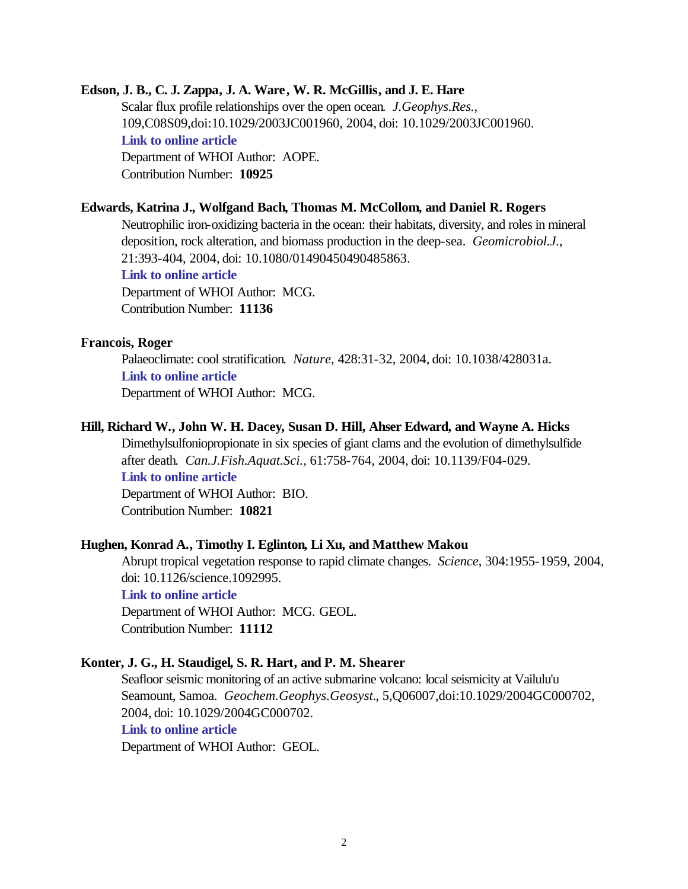#### **Edson, J. B., C. J. Zappa, J. A. Ware, W. R. McGillis, and J. E. Hare**

Scalar flux profile relationships over the open ocean. *J.Geophys.Res.*, 109,C08S09,doi:10.1029/2003JC001960, 2004, doi: 10.1029/2003JC001960. **[Link to online article](http://dx.doi.org/10.1029/2003JC001960)** Department of WHOI Author: AOPE. Contribution Number: **10925**

#### **Edwards, Katrina J., Wolfgand Bach, Thomas M. McCollom, and Daniel R. Rogers**

Neutrophilic iron-oxidizing bacteria in the ocean: their habitats, diversity, and roles in mineral deposition, rock alteration, and biomass production in the deep-sea. *Geomicrobiol.J.*, 21:393-404, 2004, doi: 10.1080/01490450490485863. **[Link to online article](http://dx.doi.org/10.1080/01490450490485863)** Department of WHOI Author: MCG. Contribution Number: **11136**

### **Francois, Roger**

Palaeoclimate: cool stratification. *Nature*, 428:31-32, 2004, doi: 10.1038/428031a. **[Link to online article](http://dx.doi.org/10.1038/428031a)** Department of WHOI Author: MCG.

#### **Hill, Richard W., John W. H. Dacey, Susan D. Hill, Ahser Edward, and Wayne A. Hicks**

Dimethylsulfoniopropionate in six species of giant clams and the evolution of dimethylsulfide after death. *Can.J.Fish.Aquat.Sci.*, 61:758-764, 2004, doi: 10.1139/F04-029. **[Link to online article](http://dx.doi.org/10.1139/F04-029)** Department of WHOI Author: BIO. Contribution Number: **10821**

#### **Hughen, Konrad A., Timothy I. Eglinton, Li Xu, and Matthew Makou**

Abrupt tropical vegetation response to rapid climate changes. *Science*, 304:1955-1959, 2004, doi: 10.1126/science.1092995.

# **[Link to online article](http://dx.doi.org/10.1126/science.1092995)**

Department of WHOI Author: MCG. GEOL. Contribution Number: **11112**

#### **Konter, J. G., H. Staudigel, S. R. Hart, and P. M. Shearer**

Seafloor seismic monitoring of an active submarine volcano: local seismicity at Vailulu'u Seamount, Samoa. *Geochem.Geophys.Geosyst.*, 5,Q06007,doi:10.1029/2004GC000702, 2004, doi: 10.1029/2004GC000702. **[Link to online article](http://dx.doi.org/10.1029/2004GC000702)** Department of WHOI Author: GEOL.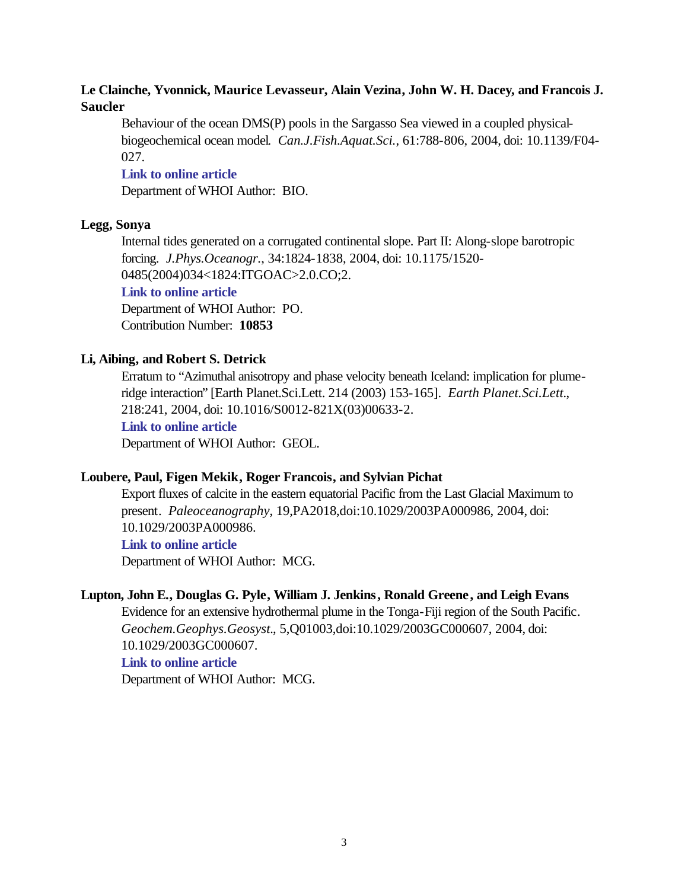# **Le Clainche, Yvonnick, Maurice Levasseur, Alain Vezina, John W. H. Dacey, and Francois J. Saucler**

Behaviour of the ocean DMS(P) pools in the Sargasso Sea viewed in a coupled physicalbiogeochemical ocean model. *Can.J.Fish.Aquat.Sci.*, 61:788-806, 2004, doi: 10.1139/F04- 027.

#### **[Link to online article](http://dx.doi.org/10.1139/F04-027)**

Department of WHOI Author: BIO.

# **Legg, Sonya**

Internal tides generated on a corrugated continental slope. Part II: Along-slope barotropic forcing. *J.Phys.Oceanogr.*, 34:1824-1838, 2004, doi: 10.1175/1520-

0485(2004)034<1824:ITGOAC>2.0.CO;2.

# **[Link to online article](http://dx.doi.org/10.1175/1520-0485(2004)034<1824:ITGOAC>2.0.CO;2)**

Department of WHOI Author: PO.

Contribution Number: **10853**

#### **Li, Aibing, and Robert S. Detrick**

Erratum to "Azimuthal anisotropy and phase velocity beneath Iceland: implication for plumeridge interaction" [Earth Planet.Sci.Lett. 214 (2003) 153-165]. *Earth Planet.Sci.Lett.*, 218:241, 2004, doi: 10.1016/S0012-821X(03)00633-2.

**[Link to online article](http://dx.doi.org/10.1016/S0012-821X(03)00633-2)**

Department of WHOI Author: GEOL.

# **Loubere, Paul, Figen Mekik, Roger Francois, and Sylvian Pichat**

Export fluxes of calcite in the eastern equatorial Pacific from the Last Glacial Maximum to present. *Paleoceanography*, 19,PA2018,doi:10.1029/2003PA000986, 2004, doi: 10.1029/2003PA000986.

#### **[Link to online article](http://dx.doi.org/10.1029/2003PA000986)**

Department of WHOI Author: MCG.

# **Lupton, John E., Douglas G. Pyle, William J. Jenkins, Ronald Greene, and Leigh Evans**

Evidence for an extensive hydrothermal plume in the Tonga-Fiji region of the South Pacific. *Geochem.Geophys.Geosyst.*, 5,Q01003,doi:10.1029/2003GC000607, 2004, doi: 10.1029/2003GC000607.

# **[Link to online article](http://dx.doi.org/10.1029/2003GC000607)**

Department of WHOI Author: MCG.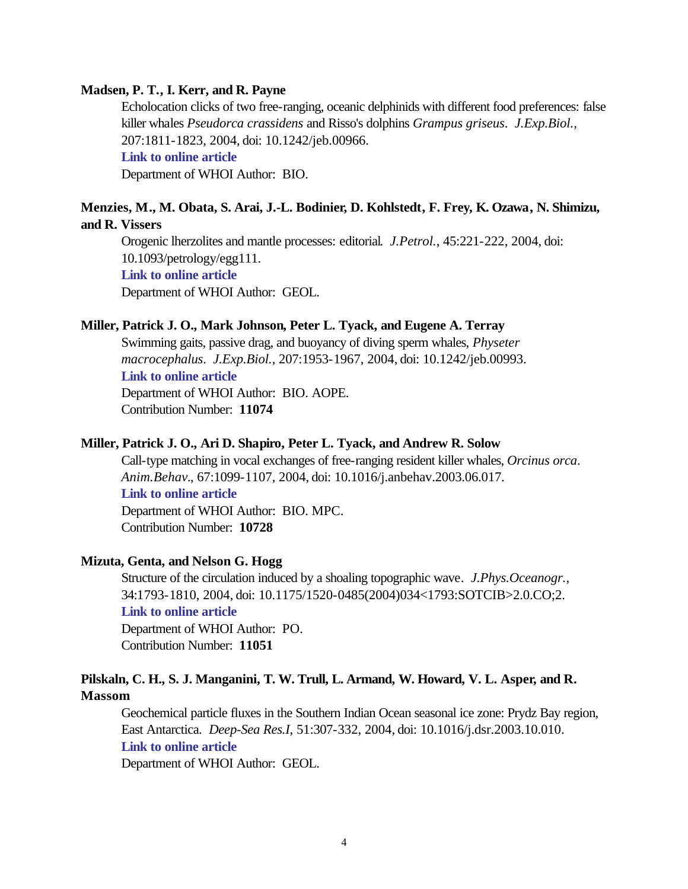#### **Madsen, P. T., I. Kerr, and R. Payne**

Echolocation clicks of two free-ranging, oceanic delphinids with different food preferences: false killer whales *Pseudorca crassidens* and Risso's dolphins *Grampus griseus*. *J.Exp.Biol.*, 207:1811-1823, 2004, doi: 10.1242/jeb.00966. **[Link to online article](http://dx.doi.org/10.1242/jeb.00966)** Department of WHOI Author: BIO.

### **Menzies, M., M. Obata, S. Arai, J.-L. Bodinier, D. Kohlstedt, F. Frey, K. Ozawa, N. Shimizu, and R. Vissers**

Orogenic lherzolites and mantle processes: editorial. *J.Petrol.*, 45:221-222, 2004, doi: 10.1093/petrology/egg111. **[Link to online article](http://dx.doi.org/10.1093/petrology/egg111)** Department of WHOI Author: GEOL.

# **Miller, Patrick J. O., Mark Johnson, Peter L. Tyack, and Eugene A. Terray**

Swimming gaits, passive drag, and buoyancy of diving sperm whales, *Physeter macrocephalus*. *J.Exp.Biol.*, 207:1953-1967, 2004, doi: 10.1242/jeb.00993. **[Link to online article](http://dx.doi.org/10.1242/jeb.00993)** Department of WHOI Author: BIO. AOPE.

Contribution Number: **11074**

#### **Miller, Patrick J. O., Ari D. Shapiro, Peter L. Tyack, and Andrew R. Solow**

Call-type matching in vocal exchanges of free-ranging resident killer whales, *Orcinus orca*. *Anim.Behav.*, 67:1099-1107, 2004, doi: 10.1016/j.anbehav.2003.06.017. **[Link to online article](http://dx.doi.org/10.1016/j.anbehav.2003.06.017)** Department of WHOI Author: BIO. MPC.

Contribution Number: **10728**

#### **Mizuta, Genta, and Nelson G. Hogg**

Structure of the circulation induced by a shoaling topographic wave. *J.Phys.Oceanogr.*, 34:1793-1810, 2004, doi: 10.1175/1520-0485(2004)034<1793:SOTCIB>2.0.CO;2. **[Link to online article](http://dx.doi.org/10.1175/1520-0485(2004)034<1793:SOTCIB>2.0.CO;2)**

Department of WHOI Author: PO. Contribution Number: **11051**

# **Pilskaln, C. H., S. J. Manganini, T. W. Trull, L. Armand, W. Howard, V. L. Asper, and R. Massom**

Geochemical particle fluxes in the Southern Indian Ocean seasonal ice zone: Prydz Bay region, East Antarctica. *Deep-Sea Res.I*, 51:307-332, 2004, doi: 10.1016/j.dsr.2003.10.010. **[Link to online article](http://dx.doi.org/10.1016/j.dsr.2003.10.010)**

Department of WHOI Author: GEOL.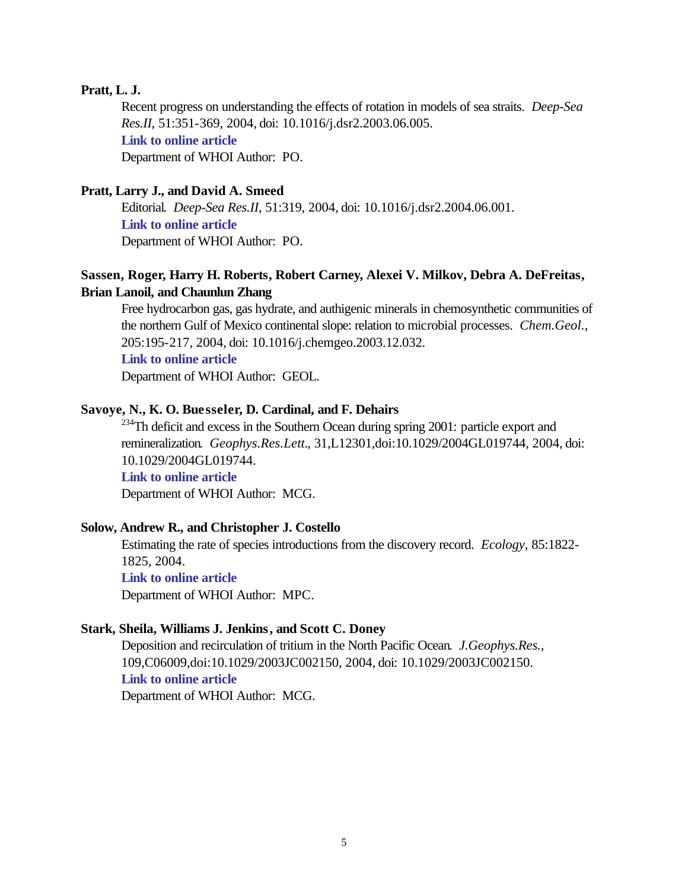#### **Pratt, L. J.**

Recent progress on understanding the effects of rotation in models of sea straits. *Deep-Sea Res.II*, 51:351-369, 2004, doi: 10.1016/j.dsr2.2003.06.005. **[Link to online article](http://dx.doi.org/10.1016/j.dsr2.2003.06.005)** Department of WHOI Author: PO.

#### **Pratt, Larry J., and David A. Smeed**

Editorial. *Deep-Sea Res.II*, 51:319, 2004, doi: 10.1016/j.dsr2.2004.06.001. **[Link to online article](http://dx.doi.org/10.1016/j.dsr2.2004.06.001)** Department of WHOI Author: PO.

# **Sassen, Roger, Harry H. Roberts, Robert Carney, Alexei V. Milkov, Debra A. DeFreitas, Brian Lanoil, and Chaunlun Zhang**

Free hydrocarbon gas, gas hydrate, and authigenic minerals in chemosynthetic communities of the northern Gulf of Mexico continental slope: relation to microbial processes. *Chem.Geol.*, 205:195-217, 2004, doi: 10.1016/j.chemgeo.2003.12.032.

#### **[Link to online article](http://dx.doi.org/10.1016/j.chemgeo.2003.12.032)**

Department of WHOI Author: GEOL.

#### **Savoye, N., K. O. Buesseler, D. Cardinal, and F. Dehairs**

 $234$ Th deficit and excess in the Southern Ocean during spring 2001: particle export and remineralization. *Geophys.Res.Lett.*, 31,L12301,doi:10.1029/2004GL019744, 2004, doi: 10.1029/2004GL019744.

#### **[Link to online article](http://dx.doi.org/10.1029/2004GL019744)**

Department of WHOI Author: MCG.

#### **Solow, Andrew R., and Christopher J. Costello**

Estimating the rate of species introductions from the discovery record. *Ecology*, 85:1822- 1825, 2004.

**[Link to online article](http://www.esajournals.org/pdfserv/i0012-9658-085-07-1822.pdf)**

Department of WHOI Author: MPC.

#### **Stark, Sheila, Williams J. Jenkins, and Scott C. Doney**

Deposition and recirculation of tritium in the North Pacific Ocean. *J.Geophys.Res.*, 109,C06009,doi:10.1029/2003JC002150, 2004, doi: 10.1029/2003JC002150. **[Link to online article](http://dx.doi.org/10.1029/2003JC002150)**

Department of WHOI Author: MCG.